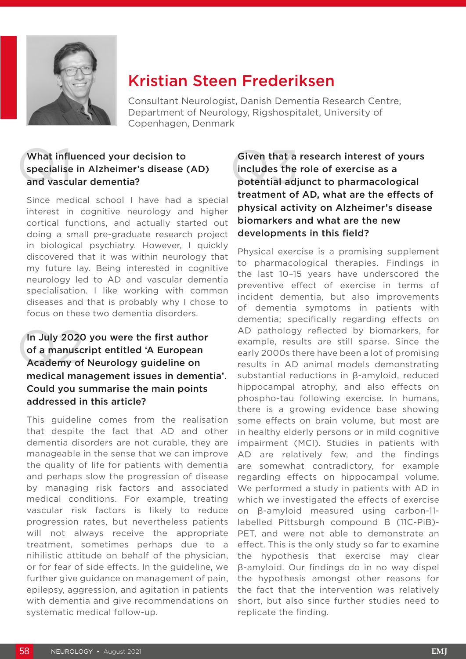

## Kristian Steen Frederiksen

Consultant Neurologist, Danish Dementia Research Centre, Department of Neurology, Rigshospitalet, University of Copenhagen, Denmark

#### What influenced your decision to What influenced your decision to<br>specialise in Alzheimer's disease (AD) includes the<br>and vascular dementia? specialise in Alzheimer's disease (AD) and vascular dementia?

Since medical school I have had a special interest in cognitive neurology and higher cortical functions, and actually started out doing a small pre-graduate research project in biological psychiatry. However, I quickly discovered that it was within neurology that my future lay. Being interested in cognitive neurology led to AD and vascular dementia specialisation. I like working with common diseases and that is probably why I chose to focus on these two dementia disorders.

#### In July 2020<br>
of a manusc<br>
Academy of In July 2020 you were the first author of a manuscript entitled 'A European Academy of Neurology guideline on medical management issues in dementia'. Could you summarise the main points addressed in this article?

This guideline comes from the realisation that despite the fact that AD and other dementia disorders are not curable, they are manageable in the sense that we can improve the quality of life for patients with dementia and perhaps slow the progression of disease by managing risk factors and associated medical conditions. For example, treating vascular risk factors is likely to reduce progression rates, but nevertheless patients will not always receive the appropriate treatment, sometimes perhaps due to a nihilistic attitude on behalf of the physician, or for fear of side effects. In the guideline, we further give guidance on management of pain, epilepsy, aggression, and agitation in patients with dementia and give recommendations on systematic medical follow-up.

#### Given that a research interest of yours includes the role of exercise as a potential adjunct to pharmacological treatment of AD, what are the effects of physical activity on Alzheimer's disease biomarkers and what are the new developments in this field?

Physical exercise is a promising supplement to pharmacological therapies. Findings in the last 10–15 years have underscored the preventive effect of exercise in terms of incident dementia, but also improvements of dementia symptoms in patients with dementia; specifically regarding effects on AD pathology reflected by biomarkers, for example, results are still sparse. Since the early 2000s there have been a lot of promising results in AD animal models demonstrating substantial reductions in β-amyloid, reduced hippocampal atrophy, and also effects on phospho-tau following exercise. In humans, there is a growing evidence base showing some effects on brain volume, but most are in healthy elderly persons or in mild cognitive impairment (MCI). Studies in patients with AD are relatively few, and the findings are somewhat contradictory, for example regarding effects on hippocampal volume. We performed a study in patients with AD in which we investigated the effects of exercise on β-amyloid measured using carbon-11 labelled Pittsburgh compound B (11C-PiB)- PET, and were not able to demonstrate an effect. This is the only study so far to examine the hypothesis that exercise may clear β-amyloid. Our findings do in no way dispel the hypothesis amongst other reasons for the fact that the intervention was relatively short, but also since further studies need to replicate the finding.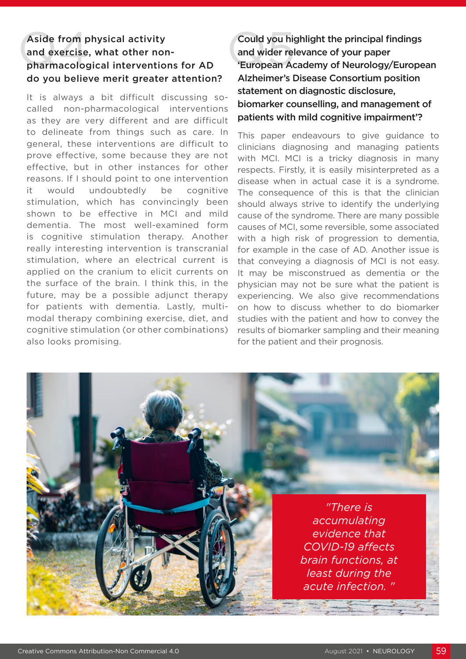# Aside from physical activity<br>
and exercise, what other non-<br>
pharmacological interventions for AD European Ad and exercise, what other nondo you believe merit greater attention?

It is always a bit difficult discussing socalled non-pharmacological interventions as they are very different and are difficult to delineate from things such as care. In general, these interventions are difficult to prove effective, some because they are not effective, but in other instances for other reasons. If I should point to one intervention it would undoubtedly be cognitive stimulation, which has convincingly been shown to be effective in MCI and mild dementia. The most well-examined form is cognitive stimulation therapy. Another really interesting intervention is transcranial stimulation, where an electrical current is applied on the cranium to elicit currents on the surface of the brain. I think this, in the future, may be a possible adjunct therapy for patients with dementia. Lastly, multimodal therapy combining exercise, diet, and cognitive stimulation (or other combinations) also looks promising.

Could you highlight the principal findings and wider relevance of your paper 'European Academy of Neurology/European Alzheimer's Disease Consortium position statement on diagnostic disclosure, biomarker counselling, and management of patients with mild cognitive impairment'?

This paper endeavours to give guidance to clinicians diagnosing and managing patients with MCI. MCI is a tricky diagnosis in many respects. Firstly, it is easily misinterpreted as a disease when in actual case it is a syndrome. The consequence of this is that the clinician should always strive to identify the underlying cause of the syndrome. There are many possible causes of MCI, some reversible, some associated with a high risk of progression to dementia, for example in the case of AD. Another issue is that conveying a diagnosis of MCI is not easy. It may be misconstrued as dementia or the physician may not be sure what the patient is experiencing. We also give recommendations on how to discuss whether to do biomarker studies with the patient and how to convey the results of biomarker sampling and their meaning for the patient and their prognosis.